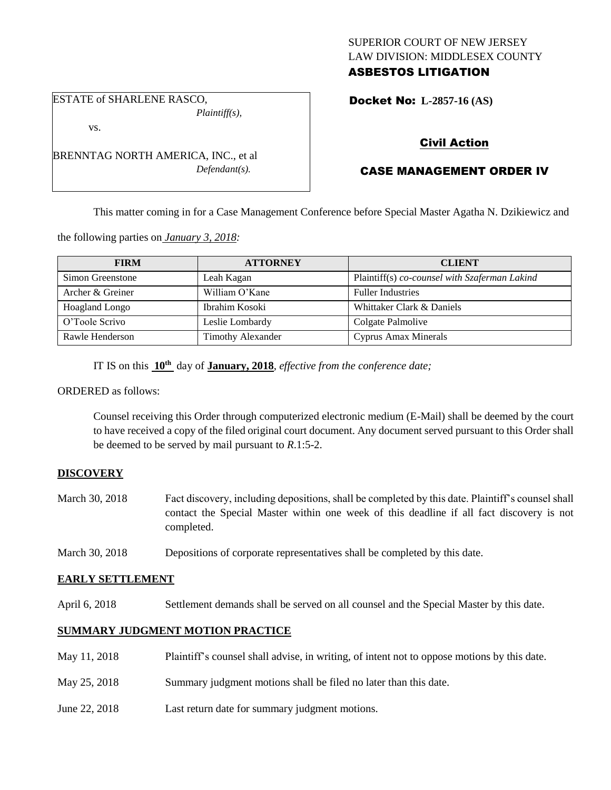## SUPERIOR COURT OF NEW JERSEY LAW DIVISION: MIDDLESEX COUNTY ASBESTOS LITIGATION

Docket No: **L-2857-16 (AS)** 

# vs.

ESTATE of SHARLENE RASCO,

BRENNTAG NORTH AMERICA, INC., et al *Defendant(s).*

*Plaintiff(s),*

## Civil Action

## CASE MANAGEMENT ORDER IV

This matter coming in for a Case Management Conference before Special Master Agatha N. Dzikiewicz and

the following parties on *January 3, 2018:*

| <b>FIRM</b>           | <b>ATTORNEY</b>   | <b>CLIENT</b>                                 |
|-----------------------|-------------------|-----------------------------------------------|
| Simon Greenstone      | Leah Kagan        | Plaintiff(s) co-counsel with Szaferman Lakind |
| Archer & Greiner      | William O'Kane    | <b>Fuller Industries</b>                      |
| <b>Hoagland Longo</b> | Ibrahim Kosoki    | Whittaker Clark & Daniels                     |
| O'Toole Scrivo        | Leslie Lombardy   | Colgate Palmolive                             |
| Rawle Henderson       | Timothy Alexander | Cyprus Amax Minerals                          |

IT IS on this **10th** day of **January, 2018**, *effective from the conference date;*

#### ORDERED as follows:

Counsel receiving this Order through computerized electronic medium (E-Mail) shall be deemed by the court to have received a copy of the filed original court document. Any document served pursuant to this Order shall be deemed to be served by mail pursuant to *R*.1:5-2.

### **DISCOVERY**

- March 30, 2018 Fact discovery, including depositions, shall be completed by this date. Plaintiff's counsel shall contact the Special Master within one week of this deadline if all fact discovery is not completed.
- March 30, 2018 Depositions of corporate representatives shall be completed by this date.

### **EARLY SETTLEMENT**

April 6, 2018 Settlement demands shall be served on all counsel and the Special Master by this date.

### **SUMMARY JUDGMENT MOTION PRACTICE**

- May 11, 2018 Plaintiff's counsel shall advise, in writing, of intent not to oppose motions by this date.
- May 25, 2018 Summary judgment motions shall be filed no later than this date.
- June 22, 2018 Last return date for summary judgment motions.